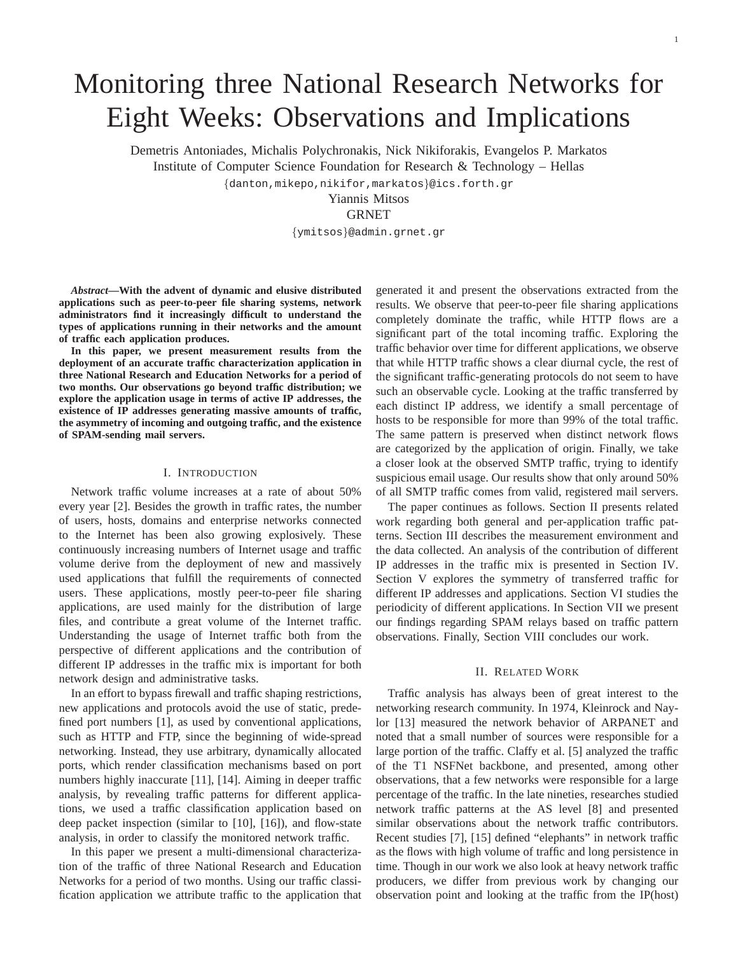# Monitoring three National Research Networks for Eight Weeks: Observations and Implications

Demetris Antoniades, Michalis Polychronakis, Nick Nikiforakis, Evangelos P. Markatos

Institute of Computer Science Foundation for Research & Technology – Hellas

{danton,mikepo,nikifor,markatos}@ics.forth.gr

Yiannis Mitsos

## **GRNET**

{ymitsos}@admin.grnet.gr

*Abstract***—With the advent of dynamic and elusive distributed applications such as peer-to-peer file sharing systems, network administrators find it increasingly difficult to understand the types of applications running in their networks and the amount of traffic each application produces.**

**In this paper, we present measurement results from the deployment of an accurate traffic characterization application in three National Research and Education Networks for a period of two months. Our observations go beyond traffic distribution; we explore the application usage in terms of active IP addresses, the existence of IP addresses generating massive amounts of traffic, the asymmetry of incoming and outgoing traffic, and the existence of SPAM-sending mail servers.**

#### I. INTRODUCTION

Network traffic volume increases at a rate of about 50% every year [2]. Besides the growth in traffic rates, the number of users, hosts, domains and enterprise networks connected to the Internet has been also growing explosively. These continuously increasing numbers of Internet usage and traffic volume derive from the deployment of new and massively used applications that fulfill the requirements of connected users. These applications, mostly peer-to-peer file sharing applications, are used mainly for the distribution of large files, and contribute a great volume of the Internet traffic. Understanding the usage of Internet traffic both from the perspective of different applications and the contribution of different IP addresses in the traffic mix is important for both network design and administrative tasks.

In an effort to bypass firewall and traffic shaping restrictions, new applications and protocols avoid the use of static, predefined port numbers [1], as used by conventional applications, such as HTTP and FTP, since the beginning of wide-spread networking. Instead, they use arbitrary, dynamically allocated ports, which render classification mechanisms based on port numbers highly inaccurate [11], [14]. Aiming in deeper traffic analysis, by revealing traffic patterns for different applications, we used a traffic classification application based on deep packet inspection (similar to [10], [16]), and flow-state analysis, in order to classify the monitored network traffic.

In this paper we present a multi-dimensional characterization of the traffic of three National Research and Education Networks for a period of two months. Using our traffic classification application we attribute traffic to the application that generated it and present the observations extracted from the results. We observe that peer-to-peer file sharing applications completely dominate the traffic, while HTTP flows are a significant part of the total incoming traffic. Exploring the traffic behavior over time for different applications, we observe that while HTTP traffic shows a clear diurnal cycle, the rest of the significant traffic-generating protocols do not seem to have such an observable cycle. Looking at the traffic transferred by each distinct IP address, we identify a small percentage of hosts to be responsible for more than 99% of the total traffic. The same pattern is preserved when distinct network flows are categorized by the application of origin. Finally, we take a closer look at the observed SMTP traffic, trying to identify suspicious email usage. Our results show that only around 50% of all SMTP traffic comes from valid, registered mail servers.

The paper continues as follows. Section II presents related work regarding both general and per-application traffic patterns. Section III describes the measurement environment and the data collected. An analysis of the contribution of different IP addresses in the traffic mix is presented in Section IV. Section V explores the symmetry of transferred traffic for different IP addresses and applications. Section VI studies the periodicity of different applications. In Section VII we present our findings regarding SPAM relays based on traffic pattern observations. Finally, Section VIII concludes our work.

#### II. RELATED WORK

Traffic analysis has always been of great interest to the networking research community. In 1974, Kleinrock and Naylor [13] measured the network behavior of ARPANET and noted that a small number of sources were responsible for a large portion of the traffic. Claffy et al. [5] analyzed the traffic of the T1 NSFNet backbone, and presented, among other observations, that a few networks were responsible for a large percentage of the traffic. In the late nineties, researches studied network traffic patterns at the AS level [8] and presented similar observations about the network traffic contributors. Recent studies [7], [15] defined "elephants" in network traffic as the flows with high volume of traffic and long persistence in time. Though in our work we also look at heavy network traffic producers, we differ from previous work by changing our observation point and looking at the traffic from the IP(host)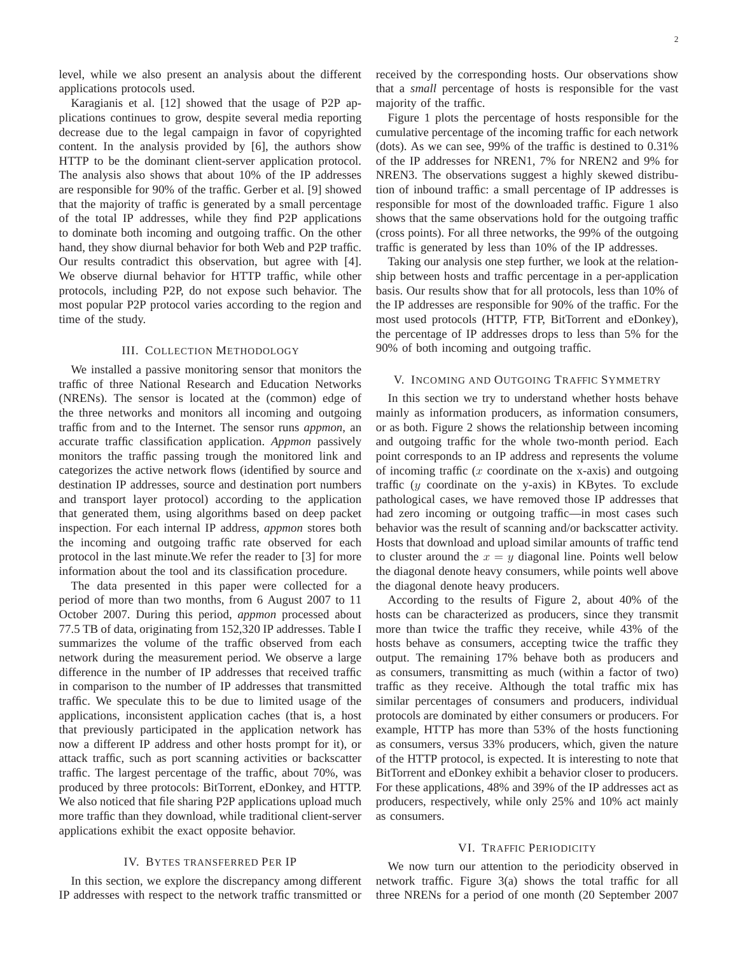level, while we also present an analysis about the different applications protocols used.

Karagianis et al. [12] showed that the usage of P2P applications continues to grow, despite several media reporting decrease due to the legal campaign in favor of copyrighted content. In the analysis provided by [6], the authors show HTTP to be the dominant client-server application protocol. The analysis also shows that about 10% of the IP addresses are responsible for 90% of the traffic. Gerber et al. [9] showed that the majority of traffic is generated by a small percentage of the total IP addresses, while they find P2P applications to dominate both incoming and outgoing traffic. On the other hand, they show diurnal behavior for both Web and P2P traffic. Our results contradict this observation, but agree with [4]. We observe diurnal behavior for HTTP traffic, while other protocols, including P2P, do not expose such behavior. The most popular P2P protocol varies according to the region and time of the study.

### III. COLLECTION METHODOLOGY

We installed a passive monitoring sensor that monitors the traffic of three National Research and Education Networks (NRENs). The sensor is located at the (common) edge of the three networks and monitors all incoming and outgoing traffic from and to the Internet. The sensor runs *appmon*, an accurate traffic classification application. *Appmon* passively monitors the traffic passing trough the monitored link and categorizes the active network flows (identified by source and destination IP addresses, source and destination port numbers and transport layer protocol) according to the application that generated them, using algorithms based on deep packet inspection. For each internal IP address, *appmon* stores both the incoming and outgoing traffic rate observed for each protocol in the last minute.We refer the reader to [3] for more information about the tool and its classification procedure.

The data presented in this paper were collected for a period of more than two months, from 6 August 2007 to 11 October 2007. During this period, *appmon* processed about 77.5 TB of data, originating from 152,320 IP addresses. Table I summarizes the volume of the traffic observed from each network during the measurement period. We observe a large difference in the number of IP addresses that received traffic in comparison to the number of IP addresses that transmitted traffic. We speculate this to be due to limited usage of the applications, inconsistent application caches (that is, a host that previously participated in the application network has now a different IP address and other hosts prompt for it), or attack traffic, such as port scanning activities or backscatter traffic. The largest percentage of the traffic, about 70%, was produced by three protocols: BitTorrent, eDonkey, and HTTP. We also noticed that file sharing P2P applications upload much more traffic than they download, while traditional client-server applications exhibit the exact opposite behavior.

#### IV. BYTES TRANSFERRED PER IP

In this section, we explore the discrepancy among different IP addresses with respect to the network traffic transmitted or received by the corresponding hosts. Our observations show that a *small* percentage of hosts is responsible for the vast majority of the traffic.

Figure 1 plots the percentage of hosts responsible for the cumulative percentage of the incoming traffic for each network (dots). As we can see, 99% of the traffic is destined to 0.31% of the IP addresses for NREN1, 7% for NREN2 and 9% for NREN3. The observations suggest a highly skewed distribution of inbound traffic: a small percentage of IP addresses is responsible for most of the downloaded traffic. Figure 1 also shows that the same observations hold for the outgoing traffic (cross points). For all three networks, the 99% of the outgoing traffic is generated by less than 10% of the IP addresses.

Taking our analysis one step further, we look at the relationship between hosts and traffic percentage in a per-application basis. Our results show that for all protocols, less than 10% of the IP addresses are responsible for 90% of the traffic. For the most used protocols (HTTP, FTP, BitTorrent and eDonkey), the percentage of IP addresses drops to less than 5% for the 90% of both incoming and outgoing traffic.

## V. INCOMING AND OUTGOING TRAFFIC SYMMETRY

In this section we try to understand whether hosts behave mainly as information producers, as information consumers, or as both. Figure 2 shows the relationship between incoming and outgoing traffic for the whole two-month period. Each point corresponds to an IP address and represents the volume of incoming traffic  $(x \text{ coordinate on the x-axis})$  and outgoing traffic  $(y \text{ coordinate on the y-axis})$  in KBytes. To exclude pathological cases, we have removed those IP addresses that had zero incoming or outgoing traffic—in most cases such behavior was the result of scanning and/or backscatter activity. Hosts that download and upload similar amounts of traffic tend to cluster around the  $x = y$  diagonal line. Points well below the diagonal denote heavy consumers, while points well above the diagonal denote heavy producers.

According to the results of Figure 2, about 40% of the hosts can be characterized as producers, since they transmit more than twice the traffic they receive, while 43% of the hosts behave as consumers, accepting twice the traffic they output. The remaining 17% behave both as producers and as consumers, transmitting as much (within a factor of two) traffic as they receive. Although the total traffic mix has similar percentages of consumers and producers, individual protocols are dominated by either consumers or producers. For example, HTTP has more than 53% of the hosts functioning as consumers, versus 33% producers, which, given the nature of the HTTP protocol, is expected. It is interesting to note that BitTorrent and eDonkey exhibit a behavior closer to producers. For these applications, 48% and 39% of the IP addresses act as producers, respectively, while only 25% and 10% act mainly as consumers.

#### VI. TRAFFIC PERIODICITY

We now turn our attention to the periodicity observed in network traffic. Figure 3(a) shows the total traffic for all three NRENs for a period of one month (20 September 2007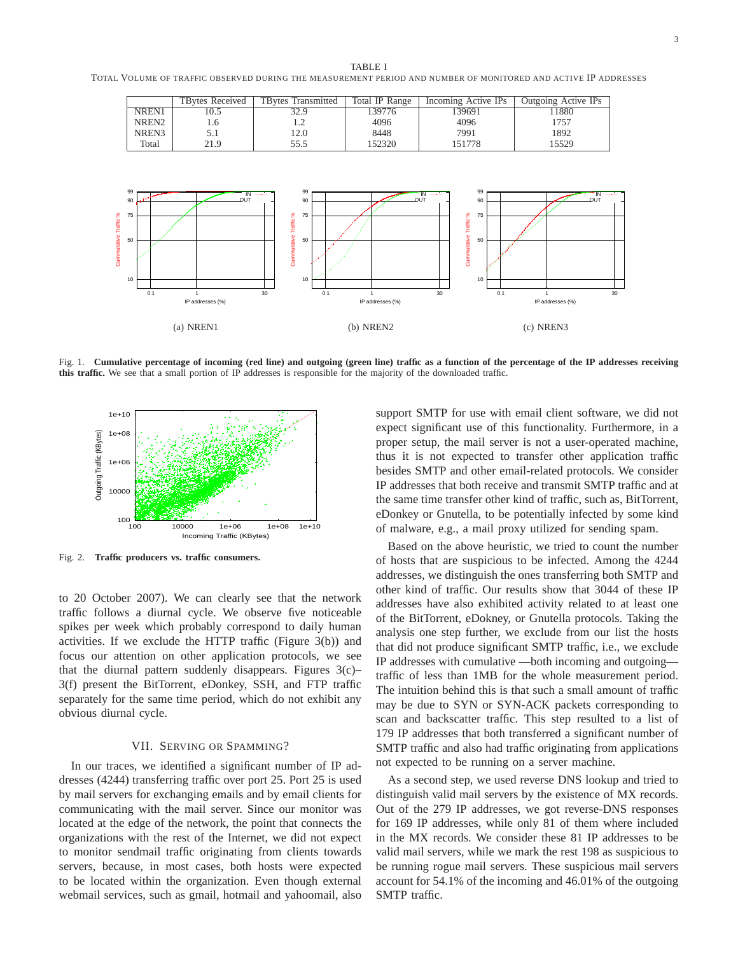|                   | <b>TBytes Received</b> | <b>TBytes Transmitted</b> | Total IP Range | Incoming Active IPs | Outgoing Active IPs |
|-------------------|------------------------|---------------------------|----------------|---------------------|---------------------|
| NREN1             | 0.5                    | 32.9                      | 139776         | 139691              | 1880                |
| NREN <sub>2</sub> |                        |                           | 4096           | 4096                | 757                 |
| NREN3             |                        | .2.0                      | 8448           | 7991                | 1892                |
| Total             | 21.9                   | 55.5                      | 152320         | 151778              | 15529               |



Fig. 1. **Cumulative percentage of incoming (red line) and outgoing (green line) traffic as a function of the percentage of the IP addresses receiving this traffic.** We see that a small portion of IP addresses is responsible for the majority of the downloaded traffic.



Fig. 2. **Traffic producers vs. traffic consumers.**

to 20 October 2007). We can clearly see that the network traffic follows a diurnal cycle. We observe five noticeable spikes per week which probably correspond to daily human activities. If we exclude the HTTP traffic (Figure 3(b)) and focus our attention on other application protocols, we see that the diurnal pattern suddenly disappears. Figures 3(c)– 3(f) present the BitTorrent, eDonkey, SSH, and FTP traffic separately for the same time period, which do not exhibit any obvious diurnal cycle.

#### VII. SERVING OR SPAMMING?

In our traces, we identified a significant number of IP addresses (4244) transferring traffic over port 25. Port 25 is used by mail servers for exchanging emails and by email clients for communicating with the mail server. Since our monitor was located at the edge of the network, the point that connects the organizations with the rest of the Internet, we did not expect to monitor sendmail traffic originating from clients towards servers, because, in most cases, both hosts were expected to be located within the organization. Even though external webmail services, such as gmail, hotmail and yahoomail, also

support SMTP for use with email client software, we did not expect significant use of this functionality. Furthermore, in a proper setup, the mail server is not a user-operated machine, thus it is not expected to transfer other application traffic besides SMTP and other email-related protocols. We consider IP addresses that both receive and transmit SMTP traffic and at the same time transfer other kind of traffic, such as, BitTorrent, eDonkey or Gnutella, to be potentially infected by some kind of malware, e.g., a mail proxy utilized for sending spam.

Based on the above heuristic, we tried to count the number of hosts that are suspicious to be infected. Among the 4244 addresses, we distinguish the ones transferring both SMTP and other kind of traffic. Our results show that 3044 of these IP addresses have also exhibited activity related to at least one of the BitTorrent, eDokney, or Gnutella protocols. Taking the analysis one step further, we exclude from our list the hosts that did not produce significant SMTP traffic, i.e., we exclude IP addresses with cumulative —both incoming and outgoing traffic of less than 1MB for the whole measurement period. The intuition behind this is that such a small amount of traffic may be due to SYN or SYN-ACK packets corresponding to scan and backscatter traffic. This step resulted to a list of 179 IP addresses that both transferred a significant number of SMTP traffic and also had traffic originating from applications not expected to be running on a server machine.

As a second step, we used reverse DNS lookup and tried to distinguish valid mail servers by the existence of MX records. Out of the 279 IP addresses, we got reverse-DNS responses for 169 IP addresses, while only 81 of them where included in the MX records. We consider these 81 IP addresses to be valid mail servers, while we mark the rest 198 as suspicious to be running rogue mail servers. These suspicious mail servers account for 54.1% of the incoming and 46.01% of the outgoing SMTP traffic.